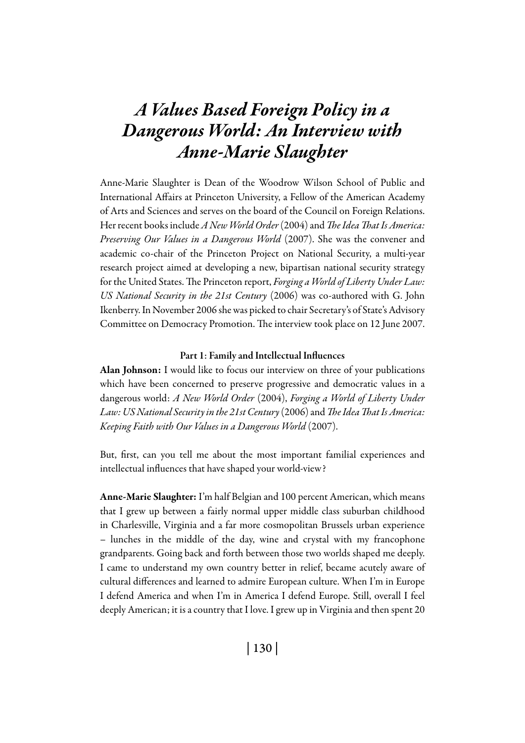# *A Values Based Foreign Policy in a Dangerous World: An Interview with Anne-Marie Slaughter*

Anne-Marie Slaughter is Dean of the Woodrow Wilson School of Public and International Affairs at Princeton University, a Fellow of the American Academy of Arts and Sciences and serves on the board of the Council on Foreign Relations. Her recent books include *A New World Order* (2004) and *The Idea That Is America: Preserving Our Values in a Dangerous World* (2007). She was the convener and academic co-chair of the Princeton Project on National Security, a multi-year research project aimed at developing a new, bipartisan national security strategy for the United States. The Princeton report, *Forging a World of Liberty Under Law: US National Security in the 21st Century* (2006) was co-authored with G. John Ikenberry. In November 2006 she was picked to chair Secretary's of State's Advisory Committee on Democracy Promotion. The interview took place on 12 June 2007.

#### Part 1: Family and Intellectual Influences

Alan Johnson: I would like to focus our interview on three of your publications which have been concerned to preserve progressive and democratic values in a dangerous world: *A New World Order* (2004), *Forging a World of Liberty Under Law: US National Security in the 21st Century* (2006) and *The Idea That Is America: Keeping Faith with Our Values in a Dangerous World* (2007).

But, first, can you tell me about the most important familial experiences and intellectual influences that have shaped your world-view?

Anne-Marie Slaughter: I'm half Belgian and 100 percent American, which means that I grew up between a fairly normal upper middle class suburban childhood in Charlesville, Virginia and a far more cosmopolitan Brussels urban experience – lunches in the middle of the day, wine and crystal with my francophone grandparents. Going back and forth between those two worlds shaped me deeply. I came to understand my own country better in relief, became acutely aware of cultural differences and learned to admire European culture. When I'm in Europe I defend America and when I'm in America I defend Europe. Still, overall I feel deeply American; it is a country that I love. I grew up in Virginia and then spent 20

| 130 |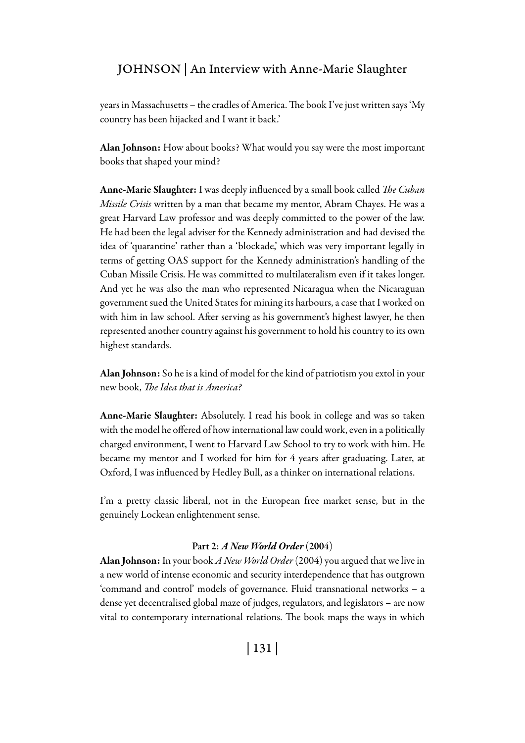years in Massachusetts – the cradles of America. The book I've just written says 'My country has been hijacked and I want it back.'

Alan Johnson: How about books? What would you say were the most important books that shaped your mind?

Anne-Marie Slaughter: I was deeply influenced by a small book called *The Cuban Missile Crisis* written by a man that became my mentor, Abram Chayes. He was a great Harvard Law professor and was deeply committed to the power of the law. He had been the legal adviser for the Kennedy administration and had devised the idea of 'quarantine' rather than a 'blockade,' which was very important legally in terms of getting OAS support for the Kennedy administration's handling of the Cuban Missile Crisis. He was committed to multilateralism even if it takes longer. And yet he was also the man who represented Nicaragua when the Nicaraguan government sued the United States for mining its harbours, a case that I worked on with him in law school. After serving as his government's highest lawyer, he then represented another country against his government to hold his country to its own highest standards.

Alan Johnson: So he is a kind of model for the kind of patriotism you extol in your new book, *The Idea that is America?*

Anne-Marie Slaughter: Absolutely. I read his book in college and was so taken with the model he offered of how international law could work, even in a politically charged environment, I went to Harvard Law School to try to work with him. He became my mentor and I worked for him for 4 years after graduating. Later, at Oxford, I was influenced by Hedley Bull, as a thinker on international relations.

I'm a pretty classic liberal, not in the European free market sense, but in the genuinely Lockean enlightenment sense.

#### Part 2: *A New World Order* (2004)

Alan Johnson: In your book *A New World Order* (2004) you argued that we live in a new world of intense economic and security interdependence that has outgrown 'command and control' models of governance. Fluid transnational networks – a dense yet decentralised global maze of judges, regulators, and legislators – are now vital to contemporary international relations. The book maps the ways in which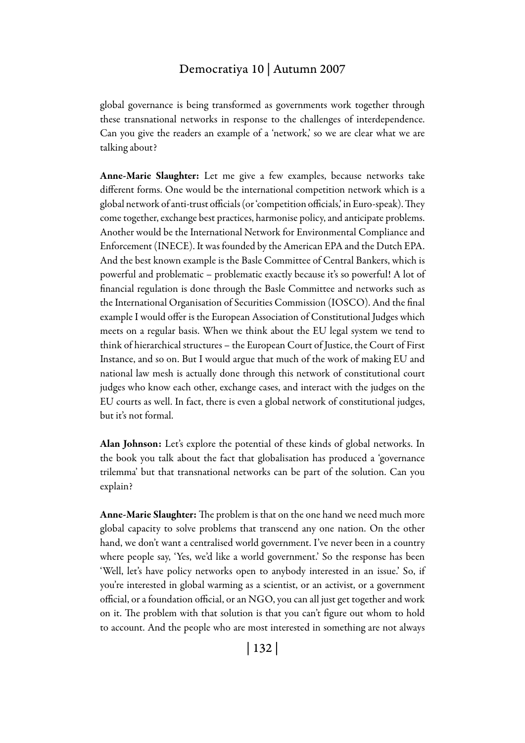global governance is being transformed as governments work together through these transnational networks in response to the challenges of interdependence. Can you give the readers an example of a 'network,' so we are clear what we are talking about?

Anne-Marie Slaughter: Let me give a few examples, because networks take different forms. One would be the international competition network which is a global network of anti-trust officials (or 'competition officials,' in Euro-speak). They come together, exchange best practices, harmonise policy, and anticipate problems. Another would be the International Network for Environmental Compliance and Enforcement (INECE). It was founded by the American EPA and the Dutch EPA. And the best known example is the Basle Committee of Central Bankers, which is powerful and problematic – problematic exactly because it's so powerful! A lot of financial regulation is done through the Basle Committee and networks such as the International Organisation of Securities Commission (IOSCO). And the final example I would offer is the European Association of Constitutional Judges which meets on a regular basis. When we think about the EU legal system we tend to think of hierarchical structures – the European Court of Justice, the Court of First Instance, and so on. But I would argue that much of the work of making EU and national law mesh is actually done through this network of constitutional court judges who know each other, exchange cases, and interact with the judges on the EU courts as well. In fact, there is even a global network of constitutional judges, but it's not formal.

Alan Johnson: Let's explore the potential of these kinds of global networks. In the book you talk about the fact that globalisation has produced a 'governance trilemma' but that transnational networks can be part of the solution. Can you explain?

Anne-Marie Slaughter: The problem is that on the one hand we need much more global capacity to solve problems that transcend any one nation. On the other hand, we don't want a centralised world government. I've never been in a country where people say, 'Yes, we'd like a world government.' So the response has been 'Well, let's have policy networks open to anybody interested in an issue.' So, if you're interested in global warming as a scientist, or an activist, or a government official, or a foundation official, or an NGO, you can all just get together and work on it. The problem with that solution is that you can't figure out whom to hold to account. And the people who are most interested in something are not always

| 132 |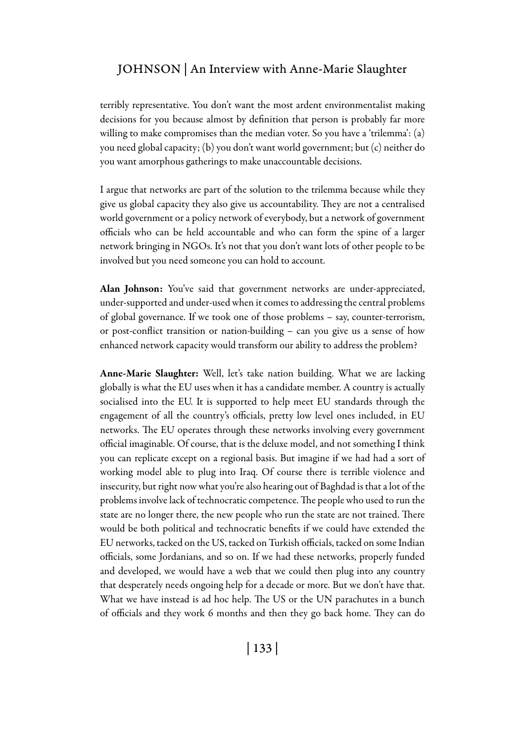terribly representative. You don't want the most ardent environmentalist making decisions for you because almost by definition that person is probably far more willing to make compromises than the median voter. So you have a 'trilemma': (a) you need global capacity; (b) you don't want world government; but (c) neither do you want amorphous gatherings to make unaccountable decisions.

I argue that networks are part of the solution to the trilemma because while they give us global capacity they also give us accountability. They are not a centralised world government or a policy network of everybody, but a network of government officials who can be held accountable and who can form the spine of a larger network bringing in NGOs. It's not that you don't want lots of other people to be involved but you need someone you can hold to account.

Alan Johnson: You've said that government networks are under-appreciated, under-supported and under-used when it comes to addressing the central problems of global governance. If we took one of those problems – say, counter-terrorism, or post-conflict transition or nation-building – can you give us a sense of how enhanced network capacity would transform our ability to address the problem?

Anne-Marie Slaughter: Well, let's take nation building. What we are lacking globally is what the EU uses when it has a candidate member. A country is actually socialised into the EU. It is supported to help meet EU standards through the engagement of all the country's officials, pretty low level ones included, in EU networks. The EU operates through these networks involving every government official imaginable. Of course, that is the deluxe model, and not something I think you can replicate except on a regional basis. But imagine if we had had a sort of working model able to plug into Iraq. Of course there is terrible violence and insecurity, but right now what you're also hearing out of Baghdad is that a lot of the problems involve lack of technocratic competence. The people who used to run the state are no longer there, the new people who run the state are not trained. There would be both political and technocratic benefits if we could have extended the EU networks, tacked on the US, tacked on Turkish officials, tacked on some Indian officials, some Jordanians, and so on. If we had these networks, properly funded and developed, we would have a web that we could then plug into any country that desperately needs ongoing help for a decade or more. But we don't have that. What we have instead is ad hoc help. The US or the UN parachutes in a bunch of officials and they work 6 months and then they go back home. They can do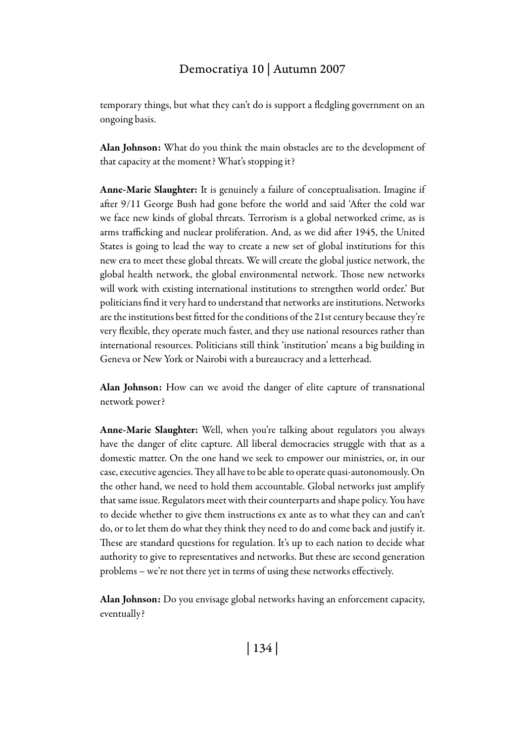temporary things, but what they can't do is support a fledgling government on an ongoing basis.

Alan Johnson: What do you think the main obstacles are to the development of that capacity at the moment? What's stopping it?

Anne-Marie Slaughter: It is genuinely a failure of conceptualisation. Imagine if after 9/11 George Bush had gone before the world and said 'After the cold war we face new kinds of global threats. Terrorism is a global networked crime, as is arms trafficking and nuclear proliferation. And, as we did after 1945, the United States is going to lead the way to create a new set of global institutions for this new era to meet these global threats. We will create the global justice network, the global health network, the global environmental network. Those new networks will work with existing international institutions to strengthen world order.' But politicians find it very hard to understand that networks are institutions. Networks are the institutions best fitted for the conditions of the 21st century because they're very flexible, they operate much faster, and they use national resources rather than international resources. Politicians still think 'institution' means a big building in Geneva or New York or Nairobi with a bureaucracy and a letterhead.

Alan Johnson: How can we avoid the danger of elite capture of transnational network power?

Anne-Marie Slaughter: Well, when you're talking about regulators you always have the danger of elite capture. All liberal democracies struggle with that as a domestic matter. On the one hand we seek to empower our ministries, or, in our case, executive agencies. They all have to be able to operate quasi-autonomously. On the other hand, we need to hold them accountable. Global networks just amplify that same issue. Regulators meet with their counterparts and shape policy. You have to decide whether to give them instructions ex ante as to what they can and can't do, or to let them do what they think they need to do and come back and justify it. These are standard questions for regulation. It's up to each nation to decide what authority to give to representatives and networks. But these are second generation problems – we're not there yet in terms of using these networks effectively.

Alan Johnson: Do you envisage global networks having an enforcement capacity, eventually?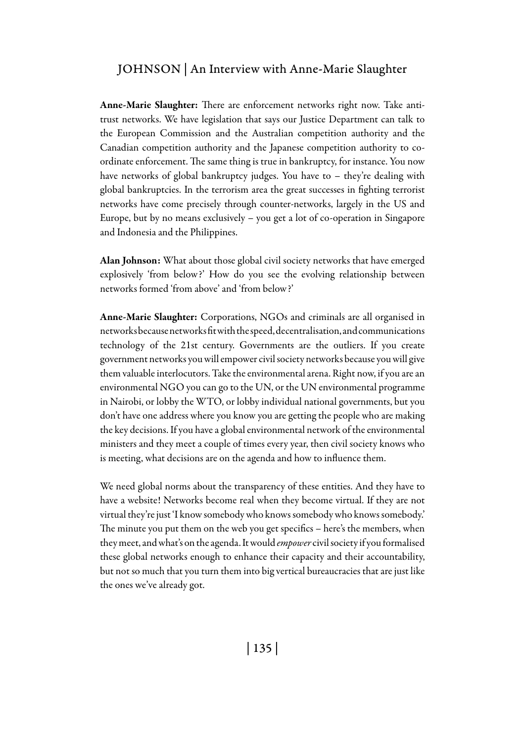Anne-Marie Slaughter: There are enforcement networks right now. Take antitrust networks. We have legislation that says our Justice Department can talk to the European Commission and the Australian competition authority and the Canadian competition authority and the Japanese competition authority to coordinate enforcement. The same thing is true in bankruptcy, for instance. You now have networks of global bankruptcy judges. You have to – they're dealing with global bankruptcies. In the terrorism area the great successes in fighting terrorist networks have come precisely through counter-networks, largely in the US and Europe, but by no means exclusively – you get a lot of co-operation in Singapore and Indonesia and the Philippines.

Alan Johnson: What about those global civil society networks that have emerged explosively 'from below?' How do you see the evolving relationship between networks formed 'from above' and 'from below?'

Anne-Marie Slaughter: Corporations, NGOs and criminals are all organised in networks because networks fit with the speed, decentralisation, and communications technology of the 21st century. Governments are the outliers. If you create government networks you will empower civil society networks because you will give them valuable interlocutors. Take the environmental arena. Right now, if you are an environmental NGO you can go to the UN, or the UN environmental programme in Nairobi, or lobby the WTO, or lobby individual national governments, but you don't have one address where you know you are getting the people who are making the key decisions. If you have a global environmental network of the environmental ministers and they meet a couple of times every year, then civil society knows who is meeting, what decisions are on the agenda and how to influence them.

We need global norms about the transparency of these entities. And they have to have a website! Networks become real when they become virtual. If they are not virtual they're just 'I know somebody who knows somebody who knows somebody.' The minute you put them on the web you get specifics – here's the members, when they meet, and what's on the agenda. It would *empower* civil society if you formalised these global networks enough to enhance their capacity and their accountability, but not so much that you turn them into big vertical bureaucracies that are just like the ones we've already got.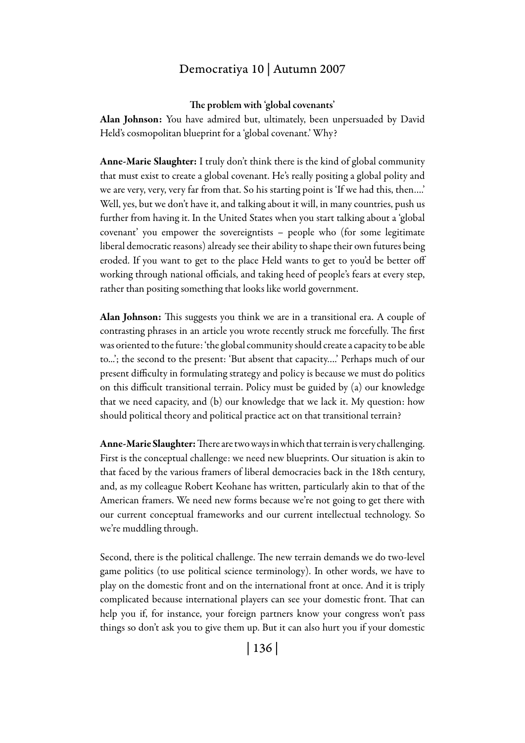#### The problem with 'global covenants'

Alan Johnson: You have admired but, ultimately, been unpersuaded by David Held's cosmopolitan blueprint for a 'global covenant.' Why?

Anne-Marie Slaughter: I truly don't think there is the kind of global community that must exist to create a global covenant. He's really positing a global polity and we are very, very, very far from that. So his starting point is 'If we had this, then….' Well, yes, but we don't have it, and talking about it will, in many countries, push us further from having it. In the United States when you start talking about a 'global covenant' you empower the sovereigntists – people who (for some legitimate liberal democratic reasons) already see their ability to shape their own futures being eroded. If you want to get to the place Held wants to get to you'd be better off working through national officials, and taking heed of people's fears at every step, rather than positing something that looks like world government.

Alan Johnson: This suggests you think we are in a transitional era. A couple of contrasting phrases in an article you wrote recently struck me forcefully. The first was oriented to the future: 'the global community should create a capacity to be able to...'; the second to the present: 'But absent that capacity….' Perhaps much of our present difficulty in formulating strategy and policy is because we must do politics on this difficult transitional terrain. Policy must be guided by (a) our knowledge that we need capacity, and (b) our knowledge that we lack it. My question: how should political theory and political practice act on that transitional terrain?

Anne-Marie Slaughter: There are two ways in which that terrain is very challenging. First is the conceptual challenge: we need new blueprints. Our situation is akin to that faced by the various framers of liberal democracies back in the 18th century, and, as my colleague Robert Keohane has written, particularly akin to that of the American framers. We need new forms because we're not going to get there with our current conceptual frameworks and our current intellectual technology. So we're muddling through.

Second, there is the political challenge. The new terrain demands we do two-level game politics (to use political science terminology). In other words, we have to play on the domestic front and on the international front at once. And it is triply complicated because international players can see your domestic front. That can help you if, for instance, your foreign partners know your congress won't pass things so don't ask you to give them up. But it can also hurt you if your domestic

| 136 |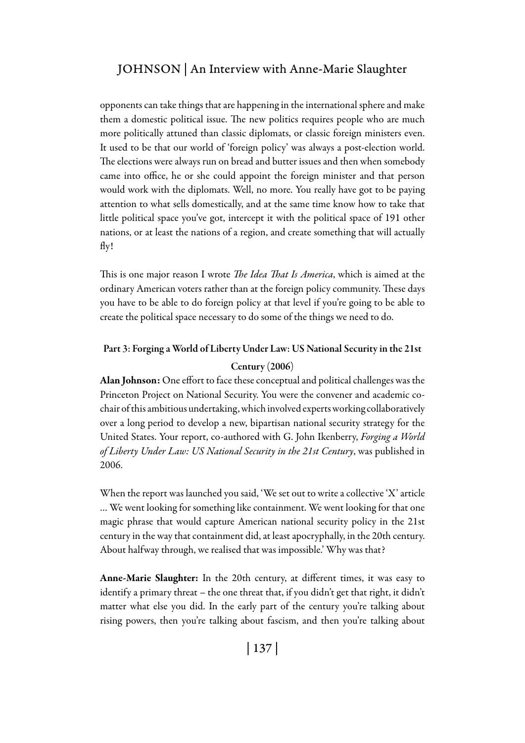### JOHNSON | An Interview with Anne-Marie Slaughter

opponents can take things that are happening in the international sphere and make them a domestic political issue. The new politics requires people who are much more politically attuned than classic diplomats, or classic foreign ministers even. It used to be that our world of 'foreign policy' was always a post-election world. The elections were always run on bread and butter issues and then when somebody came into office, he or she could appoint the foreign minister and that person would work with the diplomats. Well, no more. You really have got to be paying attention to what sells domestically, and at the same time know how to take that little political space you've got, intercept it with the political space of 191 other nations, or at least the nations of a region, and create something that will actually fly!

This is one major reason I wrote *The Idea That Is America*, which is aimed at the ordinary American voters rather than at the foreign policy community. These days you have to be able to do foreign policy at that level if you're going to be able to create the political space necessary to do some of the things we need to do.

#### Part 3: Forging a World of Liberty Under Law: US National Security in the 21st

#### Century (2006)

Alan Johnson: One effort to face these conceptual and political challenges was the Princeton Project on National Security. You were the convener and academic cochair of this ambitious undertaking, which involved experts working collaboratively over a long period to develop a new, bipartisan national security strategy for the United States. Your report, co-authored with G. John Ikenberry, *Forging a World of Liberty Under Law: US National Security in the 21st Century*, was published in 2006.

When the report was launched you said, 'We set out to write a collective 'X' article … We went looking for something like containment. We went looking for that one magic phrase that would capture American national security policy in the 21st century in the way that containment did, at least apocryphally, in the 20th century. About halfway through, we realised that was impossible.' Why was that?

Anne-Marie Slaughter: In the 20th century, at different times, it was easy to identify a primary threat – the one threat that, if you didn't get that right, it didn't matter what else you did. In the early part of the century you're talking about rising powers, then you're talking about fascism, and then you're talking about

| 137 |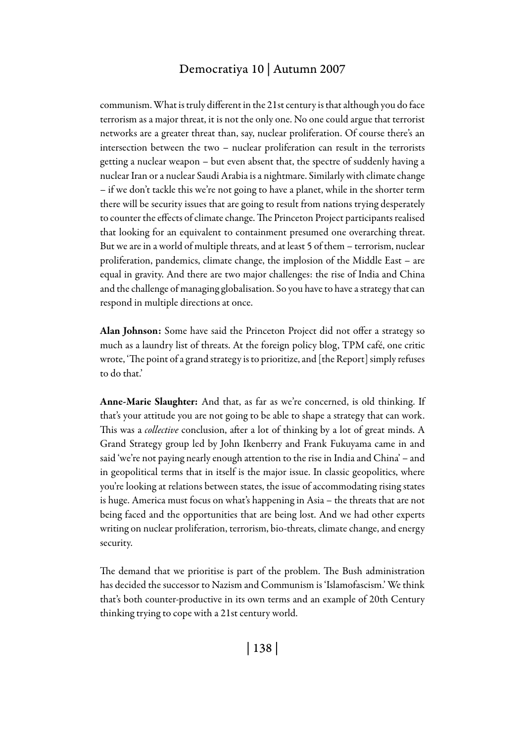communism. What is truly different in the 21st century is that although you do face terrorism as a major threat, it is not the only one. No one could argue that terrorist networks are a greater threat than, say, nuclear proliferation. Of course there's an intersection between the two – nuclear proliferation can result in the terrorists getting a nuclear weapon – but even absent that, the spectre of suddenly having a nuclear Iran or a nuclear Saudi Arabia is a nightmare. Similarly with climate change – if we don't tackle this we're not going to have a planet, while in the shorter term there will be security issues that are going to result from nations trying desperately to counter the effects of climate change. The Princeton Project participants realised that looking for an equivalent to containment presumed one overarching threat. But we are in a world of multiple threats, and at least 5 of them – terrorism, nuclear proliferation, pandemics, climate change, the implosion of the Middle East – are equal in gravity. And there are two major challenges: the rise of India and China and the challenge of managing globalisation. So you have to have a strategy that can respond in multiple directions at once.

Alan Johnson: Some have said the Princeton Project did not offer a strategy so much as a laundry list of threats. At the foreign policy blog, TPM café, one critic wrote, 'The point of a grand strategy is to prioritize, and [the Report] simply refuses to do that.'

Anne-Marie Slaughter: And that, as far as we're concerned, is old thinking. If that's your attitude you are not going to be able to shape a strategy that can work. This was a *collective* conclusion, after a lot of thinking by a lot of great minds. A Grand Strategy group led by John Ikenberry and Frank Fukuyama came in and said 'we're not paying nearly enough attention to the rise in India and China' – and in geopolitical terms that in itself is the major issue. In classic geopolitics, where you're looking at relations between states, the issue of accommodating rising states is huge. America must focus on what's happening in Asia – the threats that are not being faced and the opportunities that are being lost. And we had other experts writing on nuclear proliferation, terrorism, bio-threats, climate change, and energy security.

The demand that we prioritise is part of the problem. The Bush administration has decided the successor to Nazism and Communism is 'Islamofascism.' We think that's both counter-productive in its own terms and an example of 20th Century thinking trying to cope with a 21st century world.

| 138 |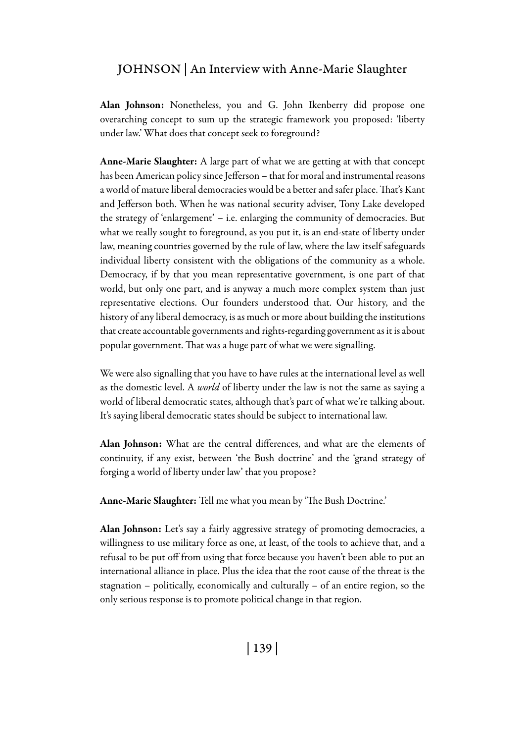### JOHNSON | An Interview with Anne-Marie Slaughter

Alan Johnson: Nonetheless, you and G. John Ikenberry did propose one overarching concept to sum up the strategic framework you proposed: 'liberty under law.' What does that concept seek to foreground?

Anne-Marie Slaughter: A large part of what we are getting at with that concept has been American policy since Jefferson – that for moral and instrumental reasons a world of mature liberal democracies would be a better and safer place. That's Kant and Jefferson both. When he was national security adviser, Tony Lake developed the strategy of 'enlargement' – i.e. enlarging the community of democracies. But what we really sought to foreground, as you put it, is an end-state of liberty under law, meaning countries governed by the rule of law, where the law itself safeguards individual liberty consistent with the obligations of the community as a whole. Democracy, if by that you mean representative government, is one part of that world, but only one part, and is anyway a much more complex system than just representative elections. Our founders understood that. Our history, and the history of any liberal democracy, is as much or more about building the institutions that create accountable governments and rights-regarding government as it is about popular government. That was a huge part of what we were signalling.

We were also signalling that you have to have rules at the international level as well as the domestic level. A *world* of liberty under the law is not the same as saying a world of liberal democratic states, although that's part of what we're talking about. It's saying liberal democratic states should be subject to international law.

Alan Johnson: What are the central differences, and what are the elements of continuity, if any exist, between 'the Bush doctrine' and the 'grand strategy of forging a world of liberty under law' that you propose?

Anne-Marie Slaughter: Tell me what you mean by 'The Bush Doctrine.'

Alan Johnson: Let's say a fairly aggressive strategy of promoting democracies, a willingness to use military force as one, at least, of the tools to achieve that, and a refusal to be put off from using that force because you haven't been able to put an international alliance in place. Plus the idea that the root cause of the threat is the stagnation – politically, economically and culturally – of an entire region, so the only serious response is to promote political change in that region.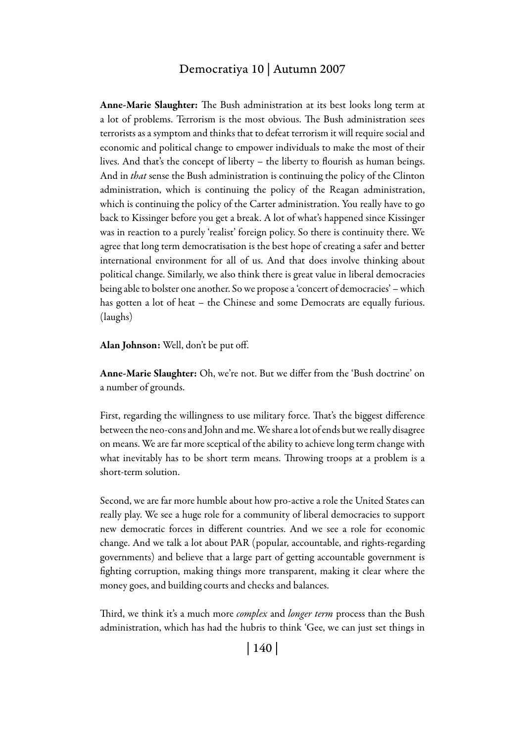Anne-Marie Slaughter: The Bush administration at its best looks long term at a lot of problems. Terrorism is the most obvious. The Bush administration sees terrorists as a symptom and thinks that to defeat terrorism it will require social and economic and political change to empower individuals to make the most of their lives. And that's the concept of liberty – the liberty to flourish as human beings. And in *that* sense the Bush administration is continuing the policy of the Clinton administration, which is continuing the policy of the Reagan administration, which is continuing the policy of the Carter administration. You really have to go back to Kissinger before you get a break. A lot of what's happened since Kissinger was in reaction to a purely 'realist' foreign policy. So there is continuity there. We agree that long term democratisation is the best hope of creating a safer and better international environment for all of us. And that does involve thinking about political change. Similarly, we also think there is great value in liberal democracies being able to bolster one another. So we propose a 'concert of democracies' – which has gotten a lot of heat – the Chinese and some Democrats are equally furious. (laughs)

Alan Johnson: Well, don't be put off.

Anne-Marie Slaughter: Oh, we're not. But we differ from the 'Bush doctrine' on a number of grounds.

First, regarding the willingness to use military force. That's the biggest difference between the neo-cons and John and me. We share a lot of ends but we really disagree on means. We are far more sceptical of the ability to achieve long term change with what inevitably has to be short term means. Throwing troops at a problem is a short-term solution.

Second, we are far more humble about how pro-active a role the United States can really play. We see a huge role for a community of liberal democracies to support new democratic forces in different countries. And we see a role for economic change. And we talk a lot about PAR (popular, accountable, and rights-regarding governments) and believe that a large part of getting accountable government is fighting corruption, making things more transparent, making it clear where the money goes, and building courts and checks and balances.

Third, we think it's a much more *complex* and *longer term* process than the Bush administration, which has had the hubris to think 'Gee, we can just set things in

| 140 |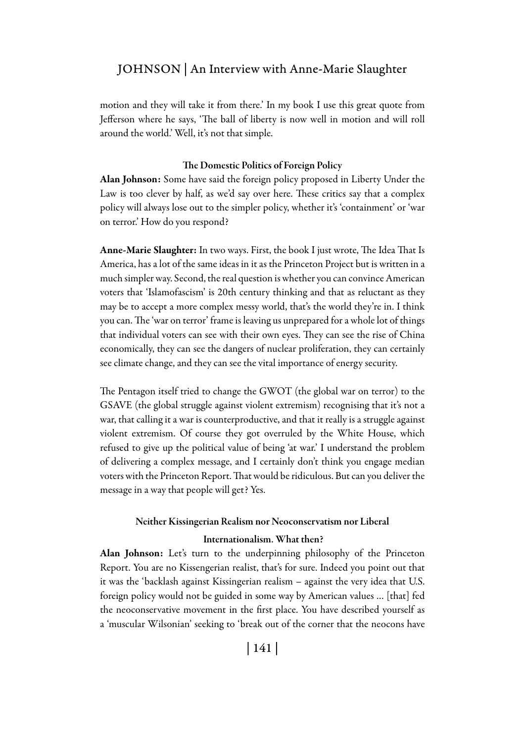### JOHNSON | An Interview with Anne-Marie Slaughter

motion and they will take it from there.' In my book I use this great quote from Jefferson where he says, 'The ball of liberty is now well in motion and will roll around the world.' Well, it's not that simple.

#### The Domestic Politics of Foreign Policy

Alan Johnson: Some have said the foreign policy proposed in Liberty Under the Law is too clever by half, as we'd say over here. These critics say that a complex policy will always lose out to the simpler policy, whether it's 'containment' or 'war on terror.' How do you respond?

Anne-Marie Slaughter: In two ways. First, the book I just wrote, The Idea That Is America, has a lot of the same ideas in it as the Princeton Project but is written in a much simpler way. Second, the real question is whether you can convince American voters that 'Islamofascism' is 20th century thinking and that as reluctant as they may be to accept a more complex messy world, that's the world they're in. I think you can. The 'war on terror' frame is leaving us unprepared for a whole lot of things that individual voters can see with their own eyes. They can see the rise of China economically, they can see the dangers of nuclear proliferation, they can certainly see climate change, and they can see the vital importance of energy security.

The Pentagon itself tried to change the GWOT (the global war on terror) to the GSAVE (the global struggle against violent extremism) recognising that it's not a war, that calling it a war is counterproductive, and that it really is a struggle against violent extremism. Of course they got overruled by the White House, which refused to give up the political value of being 'at war.' I understand the problem of delivering a complex message, and I certainly don't think you engage median voters with the Princeton Report. That would be ridiculous. But can you deliver the message in a way that people will get? Yes.

#### Neither Kissingerian Realism nor Neoconservatism nor Liberal

#### Internationalism. What then?

Alan Johnson: Let's turn to the underpinning philosophy of the Princeton Report. You are no Kissengerian realist, that's for sure. Indeed you point out that it was the 'backlash against Kissingerian realism – against the very idea that U.S. foreign policy would not be guided in some way by American values … [that] fed the neoconservative movement in the first place. You have described yourself as a 'muscular Wilsonian' seeking to 'break out of the corner that the neocons have

| 141 |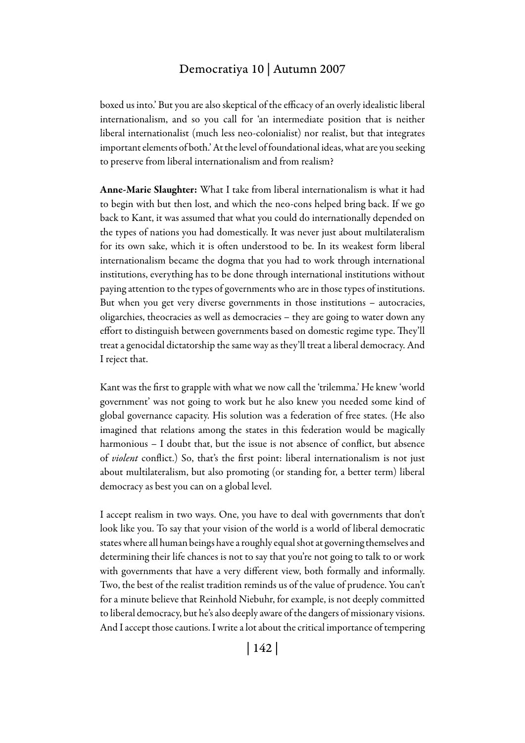boxed us into.' But you are also skeptical of the efficacy of an overly idealistic liberal internationalism, and so you call for 'an intermediate position that is neither liberal internationalist (much less neo-colonialist) nor realist, but that integrates important elements of both.' At the level of foundational ideas, what are you seeking to preserve from liberal internationalism and from realism?

Anne-Marie Slaughter: What I take from liberal internationalism is what it had to begin with but then lost, and which the neo-cons helped bring back. If we go back to Kant, it was assumed that what you could do internationally depended on the types of nations you had domestically. It was never just about multilateralism for its own sake, which it is often understood to be. In its weakest form liberal internationalism became the dogma that you had to work through international institutions, everything has to be done through international institutions without paying attention to the types of governments who are in those types of institutions. But when you get very diverse governments in those institutions – autocracies, oligarchies, theocracies as well as democracies – they are going to water down any effort to distinguish between governments based on domestic regime type. They'll treat a genocidal dictatorship the same way as they'll treat a liberal democracy. And I reject that.

Kant was the first to grapple with what we now call the 'trilemma.' He knew 'world government' was not going to work but he also knew you needed some kind of global governance capacity. His solution was a federation of free states. (He also imagined that relations among the states in this federation would be magically harmonious – I doubt that, but the issue is not absence of conflict, but absence of *violent* conflict.) So, that's the first point: liberal internationalism is not just about multilateralism, but also promoting (or standing for, a better term) liberal democracy as best you can on a global level.

I accept realism in two ways. One, you have to deal with governments that don't look like you. To say that your vision of the world is a world of liberal democratic states where all human beings have a roughly equal shot at governing themselves and determining their life chances is not to say that you're not going to talk to or work with governments that have a very different view, both formally and informally. Two, the best of the realist tradition reminds us of the value of prudence. You can't for a minute believe that Reinhold Niebuhr, for example, is not deeply committed to liberal democracy, but he's also deeply aware of the dangers of missionary visions. And I accept those cautions. I write a lot about the critical importance of tempering

| 142 |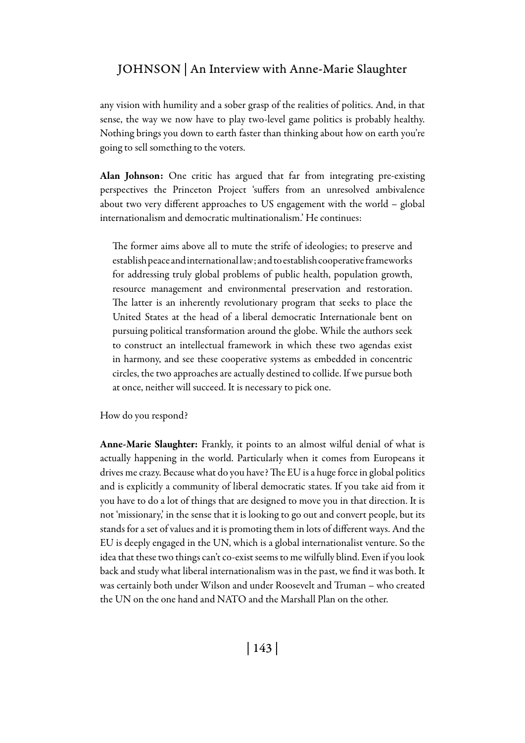### JOHNSON | An Interview with Anne-Marie Slaughter

any vision with humility and a sober grasp of the realities of politics. And, in that sense, the way we now have to play two-level game politics is probably healthy. Nothing brings you down to earth faster than thinking about how on earth you're going to sell something to the voters.

Alan Johnson: One critic has argued that far from integrating pre-existing perspectives the Princeton Project 'suffers from an unresolved ambivalence about two very different approaches to US engagement with the world – global internationalism and democratic multinationalism.' He continues:

The former aims above all to mute the strife of ideologies; to preserve and establish peace and international law; and to establish cooperative frameworks for addressing truly global problems of public health, population growth, resource management and environmental preservation and restoration. The latter is an inherently revolutionary program that seeks to place the United States at the head of a liberal democratic Internationale bent on pursuing political transformation around the globe. While the authors seek to construct an intellectual framework in which these two agendas exist in harmony, and see these cooperative systems as embedded in concentric circles, the two approaches are actually destined to collide. If we pursue both at once, neither will succeed. It is necessary to pick one.

How do you respond?

Anne-Marie Slaughter: Frankly, it points to an almost wilful denial of what is actually happening in the world. Particularly when it comes from Europeans it drives me crazy. Because what do you have? The EU is a huge force in global politics and is explicitly a community of liberal democratic states. If you take aid from it you have to do a lot of things that are designed to move you in that direction. It is not 'missionary,' in the sense that it is looking to go out and convert people, but its stands for a set of values and it is promoting them in lots of different ways. And the EU is deeply engaged in the UN, which is a global internationalist venture. So the idea that these two things can't co-exist seems to me wilfully blind. Even if you look back and study what liberal internationalism was in the past, we find it was both. It was certainly both under Wilson and under Roosevelt and Truman – who created the UN on the one hand and NATO and the Marshall Plan on the other.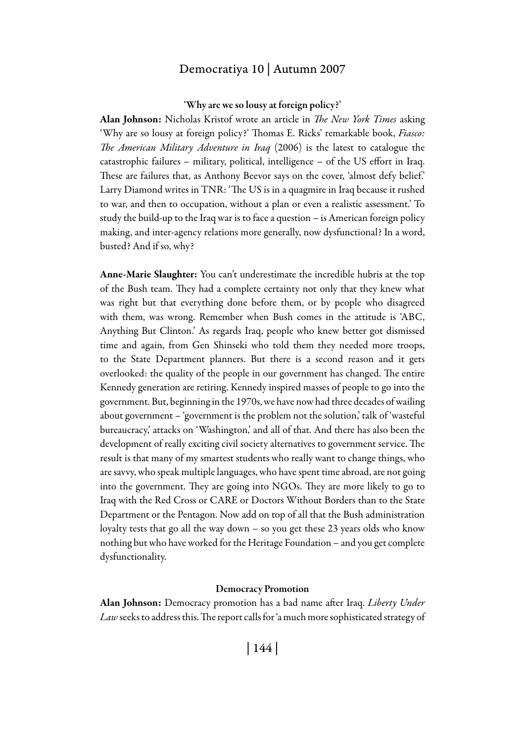#### 'Why are we so lousy at foreign policy?'

Alan Johnson: Nicholas Kristof wrote an article in *The New York Times* asking 'Why are so lousy at foreign policy?' Thomas E. Ricks' remarkable book, *Fiasco: The American Military Adventure in Iraq* (2006) is the latest to catalogue the catastrophic failures – military, political, intelligence – of the US effort in Iraq. These are failures that, as Anthony Beevor says on the cover, 'almost defy belief.' Larry Diamond writes in TNR: 'The US is in a quagmire in Iraq because it rushed to war, and then to occupation, without a plan or even a realistic assessment.' To study the build-up to the Iraq war is to face a question – is American foreign policy making, and inter-agency relations more generally, now dysfunctional? In a word, busted? And if so, why?

Anne-Marie Slaughter: You can't underestimate the incredible hubris at the top of the Bush team. They had a complete certainty not only that they knew what was right but that everything done before them, or by people who disagreed with them, was wrong. Remember when Bush comes in the attitude is 'ABC, Anything But Clinton.' As regards Iraq, people who knew better got dismissed time and again, from Gen Shinseki who told them they needed more troops, to the State Department planners. But there is a second reason and it gets overlooked: the quality of the people in our government has changed. The entire Kennedy generation are retiring. Kennedy inspired masses of people to go into the government. But, beginning in the 1970s, we have now had three decades of wailing about government – 'government is the problem not the solution,' talk of 'wasteful bureaucracy,' attacks on 'Washington,' and all of that. And there has also been the development of really exciting civil society alternatives to government service. The result is that many of my smartest students who really want to change things, who are savvy, who speak multiple languages, who have spent time abroad, are not going into the government. They are going into NGOs. They are more likely to go to Iraq with the Red Cross or CARE or Doctors Without Borders than to the State Department or the Pentagon. Now add on top of all that the Bush administration loyalty tests that go all the way down – so you get these 23 years olds who know nothing but who have worked for the Heritage Foundation – and you get complete dysfunctionality.

#### Democracy Promotion

Alan Johnson: Democracy promotion has a bad name after Iraq. *Liberty Under Law* seeks to address this. The report calls for 'a much more sophisticated strategy of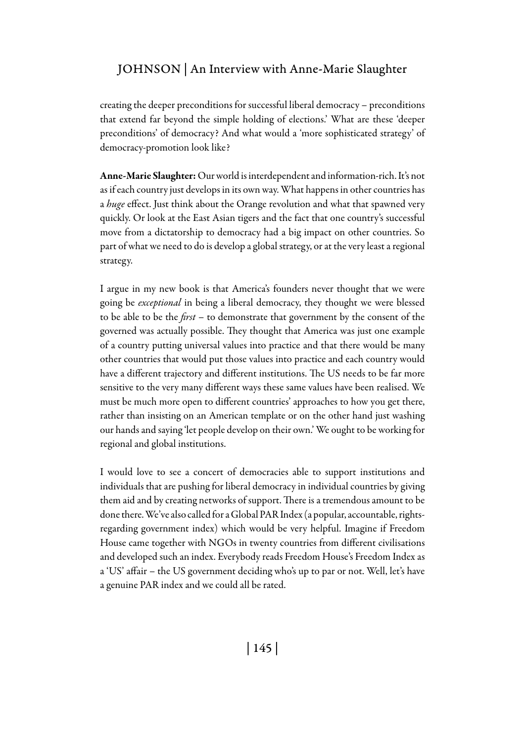creating the deeper preconditions for successful liberal democracy – preconditions that extend far beyond the simple holding of elections.' What are these 'deeper preconditions' of democracy? And what would a 'more sophisticated strategy' of democracy-promotion look like?

Anne-Marie Slaughter: Our world is interdependent and information-rich. It's not as if each country just develops in its own way. What happens in other countries has a *huge* effect. Just think about the Orange revolution and what that spawned very quickly. Or look at the East Asian tigers and the fact that one country's successful move from a dictatorship to democracy had a big impact on other countries. So part of what we need to do is develop a global strategy, or at the very least a regional strategy.

I argue in my new book is that America's founders never thought that we were going be *exceptional* in being a liberal democracy, they thought we were blessed to be able to be the *first* – to demonstrate that government by the consent of the governed was actually possible. They thought that America was just one example of a country putting universal values into practice and that there would be many other countries that would put those values into practice and each country would have a different trajectory and different institutions. The US needs to be far more sensitive to the very many different ways these same values have been realised. We must be much more open to different countries' approaches to how you get there, rather than insisting on an American template or on the other hand just washing our hands and saying 'let people develop on their own.' We ought to be working for regional and global institutions.

I would love to see a concert of democracies able to support institutions and individuals that are pushing for liberal democracy in individual countries by giving them aid and by creating networks of support. There is a tremendous amount to be done there. We've also called for a Global PAR Index (a popular, accountable, rightsregarding government index) which would be very helpful. Imagine if Freedom House came together with NGOs in twenty countries from different civilisations and developed such an index. Everybody reads Freedom House's Freedom Index as a 'US' affair – the US government deciding who's up to par or not. Well, let's have a genuine PAR index and we could all be rated.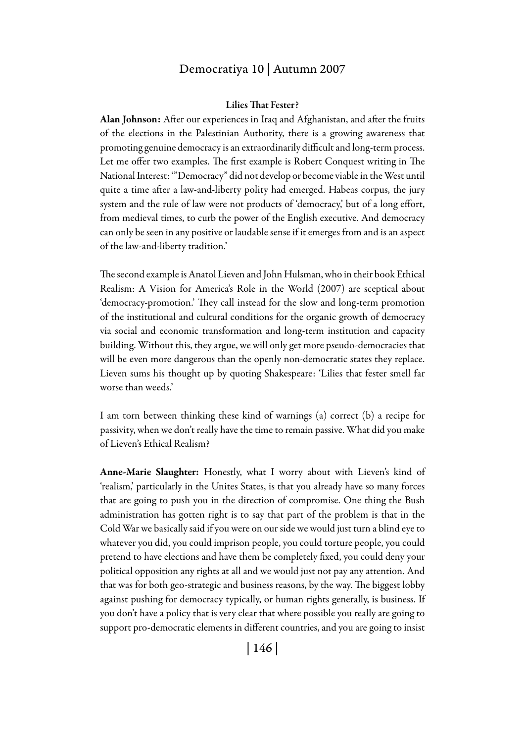#### Lilies That Fester?

Alan Johnson: After our experiences in Iraq and Afghanistan, and after the fruits of the elections in the Palestinian Authority, there is a growing awareness that promoting genuine democracy is an extraordinarily difficult and long-term process. Let me offer two examples. The first example is Robert Conquest writing in The National Interest: '"Democracy" did not develop or become viable in the West until quite a time after a law-and-liberty polity had emerged. Habeas corpus, the jury system and the rule of law were not products of 'democracy,' but of a long effort, from medieval times, to curb the power of the English executive. And democracy can only be seen in any positive or laudable sense if it emerges from and is an aspect of the law-and-liberty tradition.'

The second example is Anatol Lieven and John Hulsman, who in their book Ethical Realism: A Vision for America's Role in the World (2007) are sceptical about 'democracy-promotion.' They call instead for the slow and long-term promotion of the institutional and cultural conditions for the organic growth of democracy via social and economic transformation and long-term institution and capacity building. Without this, they argue, we will only get more pseudo-democracies that will be even more dangerous than the openly non-democratic states they replace. Lieven sums his thought up by quoting Shakespeare: 'Lilies that fester smell far worse than weeds.'

I am torn between thinking these kind of warnings (a) correct (b) a recipe for passivity, when we don't really have the time to remain passive. What did you make of Lieven's Ethical Realism?

Anne-Marie Slaughter: Honestly, what I worry about with Lieven's kind of 'realism,' particularly in the Unites States, is that you already have so many forces that are going to push you in the direction of compromise. One thing the Bush administration has gotten right is to say that part of the problem is that in the Cold War we basically said if you were on our side we would just turn a blind eye to whatever you did, you could imprison people, you could torture people, you could pretend to have elections and have them be completely fixed, you could deny your political opposition any rights at all and we would just not pay any attention. And that was for both geo-strategic and business reasons, by the way. The biggest lobby against pushing for democracy typically, or human rights generally, is business. If you don't have a policy that is very clear that where possible you really are going to support pro-democratic elements in different countries, and you are going to insist

| 146 |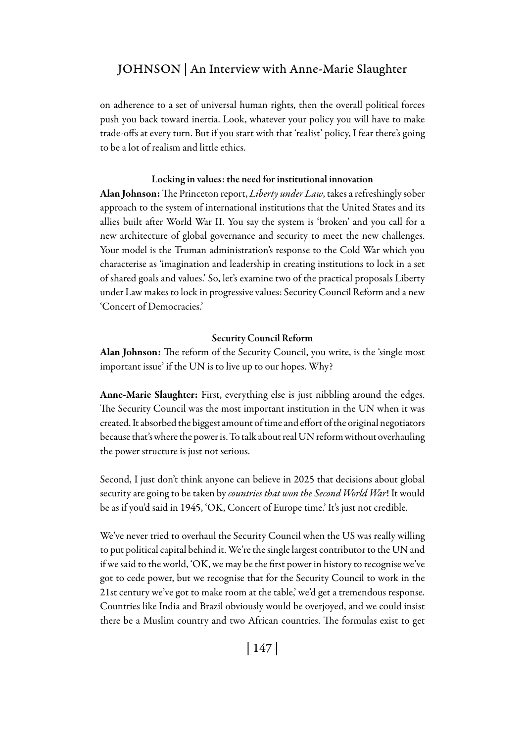on adherence to a set of universal human rights, then the overall political forces push you back toward inertia. Look, whatever your policy you will have to make trade-offs at every turn. But if you start with that 'realist' policy, I fear there's going to be a lot of realism and little ethics.

#### Locking in values: the need for institutional innovation

Alan Johnson: The Princeton report, *Liberty under Law*, takes a refreshingly sober approach to the system of international institutions that the United States and its allies built after World War II. You say the system is 'broken' and you call for a new architecture of global governance and security to meet the new challenges. Your model is the Truman administration's response to the Cold War which you characterise as 'imagination and leadership in creating institutions to lock in a set of shared goals and values.' So, let's examine two of the practical proposals Liberty under Law makes to lock in progressive values: Security Council Reform and a new 'Concert of Democracies.'

#### Security Council Reform

Alan Johnson: The reform of the Security Council, you write, is the 'single most important issue' if the UN is to live up to our hopes. Why?

Anne-Marie Slaughter: First, everything else is just nibbling around the edges. The Security Council was the most important institution in the UN when it was created. It absorbed the biggest amount of time and effort of the original negotiators because that's where the power is. To talk about real UN reform without overhauling the power structure is just not serious.

Second, I just don't think anyone can believe in 2025 that decisions about global security are going to be taken by *countries that won the Second World War*! It would be as if you'd said in 1945, 'OK, Concert of Europe time.' It's just not credible.

We've never tried to overhaul the Security Council when the US was really willing to put political capital behind it. We're the single largest contributor to the UN and if we said to the world, 'OK, we may be the first power in history to recognise we've got to cede power, but we recognise that for the Security Council to work in the 21st century we've got to make room at the table,' we'd get a tremendous response. Countries like India and Brazil obviously would be overjoyed, and we could insist there be a Muslim country and two African countries. The formulas exist to get

| 147 |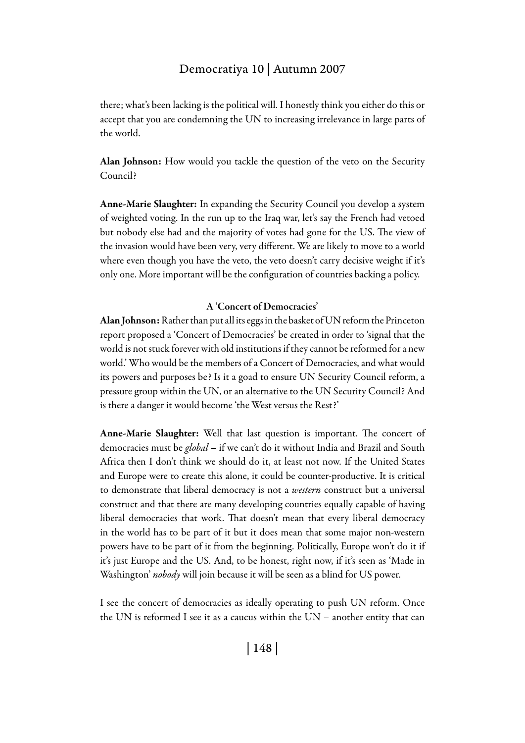there; what's been lacking is the political will. I honestly think you either do this or accept that you are condemning the UN to increasing irrelevance in large parts of the world.

Alan Johnson: How would you tackle the question of the veto on the Security Council?

Anne-Marie Slaughter: In expanding the Security Council you develop a system of weighted voting. In the run up to the Iraq war, let's say the French had vetoed but nobody else had and the majority of votes had gone for the US. The view of the invasion would have been very, very different. We are likely to move to a world where even though you have the veto, the veto doesn't carry decisive weight if it's only one. More important will be the configuration of countries backing a policy.

#### A 'Concert of Democracies'

Alan Johnson: Rather than put all its eggs in the basket of UN reform the Princeton report proposed a 'Concert of Democracies' be created in order to 'signal that the world is not stuck forever with old institutions if they cannot be reformed for a new world.' Who would be the members of a Concert of Democracies, and what would its powers and purposes be? Is it a goad to ensure UN Security Council reform, a pressure group within the UN, or an alternative to the UN Security Council? And is there a danger it would become 'the West versus the Rest?'

Anne-Marie Slaughter: Well that last question is important. The concert of democracies must be *global* – if we can't do it without India and Brazil and South Africa then I don't think we should do it, at least not now. If the United States and Europe were to create this alone, it could be counter-productive. It is critical to demonstrate that liberal democracy is not a *western* construct but a universal construct and that there are many developing countries equally capable of having liberal democracies that work. That doesn't mean that every liberal democracy in the world has to be part of it but it does mean that some major non-western powers have to be part of it from the beginning. Politically, Europe won't do it if it's just Europe and the US. And, to be honest, right now, if it's seen as 'Made in Washington' *nobody* will join because it will be seen as a blind for US power.

I see the concert of democracies as ideally operating to push UN reform. Once the UN is reformed I see it as a caucus within the UN – another entity that can

| 148 |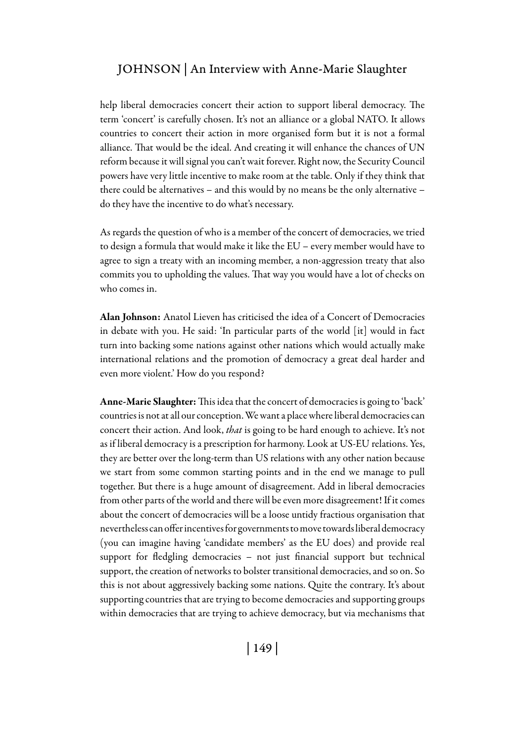help liberal democracies concert their action to support liberal democracy. The term 'concert' is carefully chosen. It's not an alliance or a global NATO. It allows countries to concert their action in more organised form but it is not a formal alliance. That would be the ideal. And creating it will enhance the chances of UN reform because it will signal you can't wait forever. Right now, the Security Council powers have very little incentive to make room at the table. Only if they think that there could be alternatives – and this would by no means be the only alternative – do they have the incentive to do what's necessary.

As regards the question of who is a member of the concert of democracies, we tried to design a formula that would make it like the EU – every member would have to agree to sign a treaty with an incoming member, a non-aggression treaty that also commits you to upholding the values. That way you would have a lot of checks on who comes in.

Alan Johnson: Anatol Lieven has criticised the idea of a Concert of Democracies in debate with you. He said: 'In particular parts of the world [it] would in fact turn into backing some nations against other nations which would actually make international relations and the promotion of democracy a great deal harder and even more violent.' How do you respond?

Anne-Marie Slaughter: This idea that the concert of democracies is going to 'back' countries is not at all our conception. We want a place where liberal democracies can concert their action. And look, *that* is going to be hard enough to achieve. It's not as if liberal democracy is a prescription for harmony. Look at US-EU relations. Yes, they are better over the long-term than US relations with any other nation because we start from some common starting points and in the end we manage to pull together. But there is a huge amount of disagreement. Add in liberal democracies from other parts of the world and there will be even more disagreement! If it comes about the concert of democracies will be a loose untidy fractious organisation that nevertheless can offer incentives for governments to move towards liberal democracy (you can imagine having 'candidate members' as the EU does) and provide real support for fledgling democracies – not just financial support but technical support, the creation of networks to bolster transitional democracies, and so on. So this is not about aggressively backing some nations. Quite the contrary. It's about supporting countries that are trying to become democracies and supporting groups within democracies that are trying to achieve democracy, but via mechanisms that

| 149 |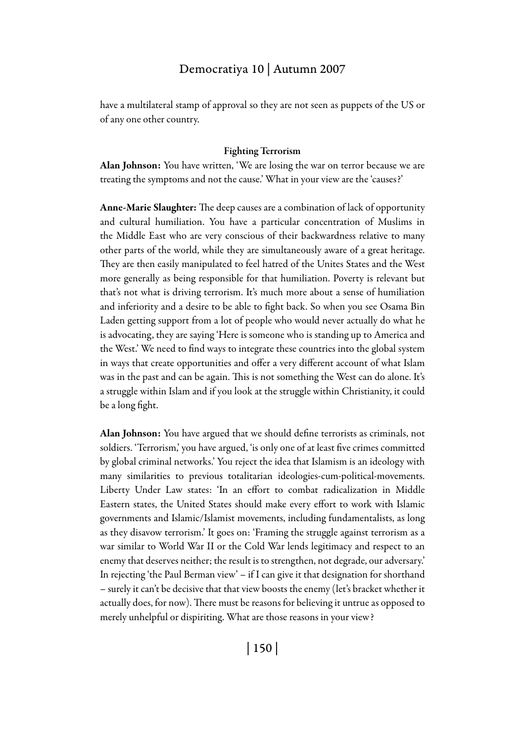have a multilateral stamp of approval so they are not seen as puppets of the US or of any one other country.

#### Fighting Terrorism

Alan Johnson: You have written, 'We are losing the war on terror because we are treating the symptoms and not the cause.' What in your view are the 'causes?'

Anne-Marie Slaughter: The deep causes are a combination of lack of opportunity and cultural humiliation. You have a particular concentration of Muslims in the Middle East who are very conscious of their backwardness relative to many other parts of the world, while they are simultaneously aware of a great heritage. They are then easily manipulated to feel hatred of the Unites States and the West more generally as being responsible for that humiliation. Poverty is relevant but that's not what is driving terrorism. It's much more about a sense of humiliation and inferiority and a desire to be able to fight back. So when you see Osama Bin Laden getting support from a lot of people who would never actually do what he is advocating, they are saying 'Here is someone who is standing up to America and the West.' We need to find ways to integrate these countries into the global system in ways that create opportunities and offer a very different account of what Islam was in the past and can be again. This is not something the West can do alone. It's a struggle within Islam and if you look at the struggle within Christianity, it could be a long fight.

Alan Johnson: You have argued that we should define terrorists as criminals, not soldiers. 'Terrorism,' you have argued, 'is only one of at least five crimes committed by global criminal networks.' You reject the idea that Islamism is an ideology with many similarities to previous totalitarian ideologies-cum-political-movements. Liberty Under Law states: 'In an effort to combat radicalization in Middle Eastern states, the United States should make every effort to work with Islamic governments and Islamic/Islamist movements, including fundamentalists, as long as they disavow terrorism.' It goes on: 'Framing the struggle against terrorism as a war similar to World War II or the Cold War lends legitimacy and respect to an enemy that deserves neither; the result is to strengthen, not degrade, our adversary.' In rejecting 'the Paul Berman view' – if I can give it that designation for shorthand – surely it can't be decisive that that view boosts the enemy (let's bracket whether it actually does, for now). There must be reasons for believing it untrue as opposed to merely unhelpful or dispiriting. What are those reasons in your view?

| 150 |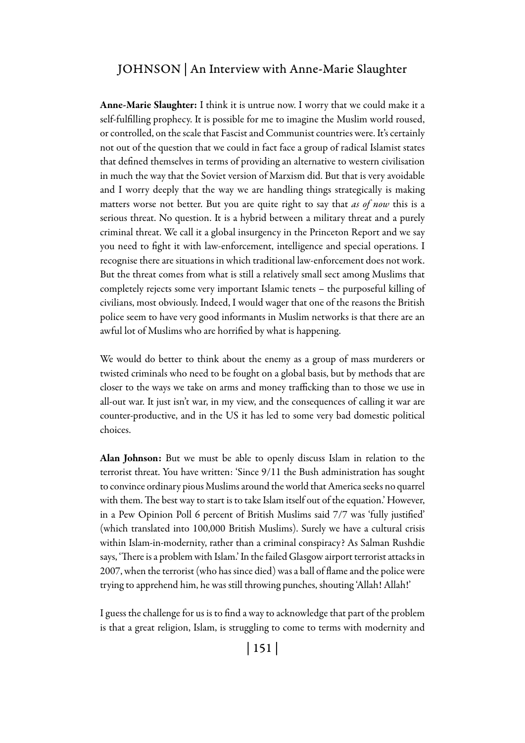Anne-Marie Slaughter: I think it is untrue now. I worry that we could make it a self-fulfilling prophecy. It is possible for me to imagine the Muslim world roused, or controlled, on the scale that Fascist and Communist countries were. It's certainly not out of the question that we could in fact face a group of radical Islamist states that defined themselves in terms of providing an alternative to western civilisation in much the way that the Soviet version of Marxism did. But that is very avoidable and I worry deeply that the way we are handling things strategically is making matters worse not better. But you are quite right to say that *as of now* this is a serious threat. No question. It is a hybrid between a military threat and a purely criminal threat. We call it a global insurgency in the Princeton Report and we say you need to fight it with law-enforcement, intelligence and special operations. I recognise there are situations in which traditional law-enforcement does not work. But the threat comes from what is still a relatively small sect among Muslims that completely rejects some very important Islamic tenets – the purposeful killing of civilians, most obviously. Indeed, I would wager that one of the reasons the British police seem to have very good informants in Muslim networks is that there are an awful lot of Muslims who are horrified by what is happening.

We would do better to think about the enemy as a group of mass murderers or twisted criminals who need to be fought on a global basis, but by methods that are closer to the ways we take on arms and money trafficking than to those we use in all-out war. It just isn't war, in my view, and the consequences of calling it war are counter-productive, and in the US it has led to some very bad domestic political choices.

Alan Johnson: But we must be able to openly discuss Islam in relation to the terrorist threat. You have written: 'Since 9/11 the Bush administration has sought to convince ordinary pious Muslims around the world that America seeks no quarrel with them. The best way to start is to take Islam itself out of the equation.' However, in a Pew Opinion Poll 6 percent of British Muslims said 7/7 was 'fully justified' (which translated into 100,000 British Muslims). Surely we have a cultural crisis within Islam-in-modernity, rather than a criminal conspiracy? As Salman Rushdie says, 'There is a problem with Islam.' In the failed Glasgow airport terrorist attacks in 2007, when the terrorist (who has since died) was a ball of flame and the police were trying to apprehend him, he was still throwing punches, shouting 'Allah! Allah!'

I guess the challenge for us is to find a way to acknowledge that part of the problem is that a great religion, Islam, is struggling to come to terms with modernity and

| 151 |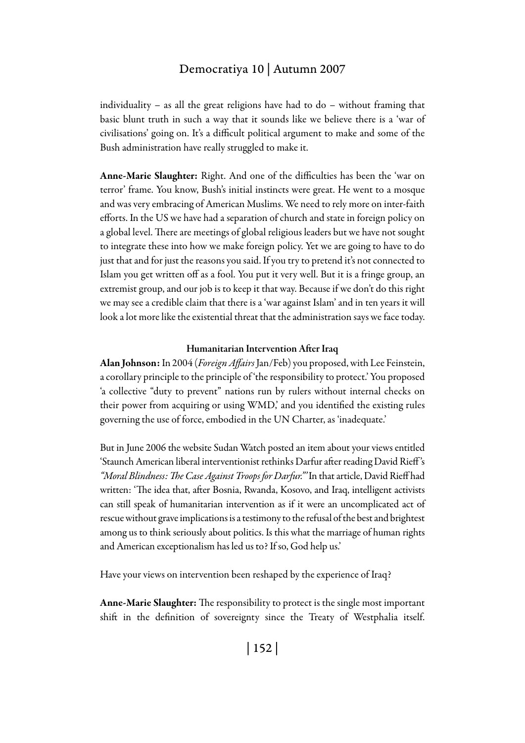individuality – as all the great religions have had to do – without framing that basic blunt truth in such a way that it sounds like we believe there is a 'war of civilisations' going on. It's a difficult political argument to make and some of the Bush administration have really struggled to make it.

Anne-Marie Slaughter: Right. And one of the difficulties has been the 'war on terror' frame. You know, Bush's initial instincts were great. He went to a mosque and was very embracing of American Muslims. We need to rely more on inter-faith efforts. In the US we have had a separation of church and state in foreign policy on a global level. There are meetings of global religious leaders but we have not sought to integrate these into how we make foreign policy. Yet we are going to have to do just that and for just the reasons you said. If you try to pretend it's not connected to Islam you get written off as a fool. You put it very well. But it is a fringe group, an extremist group, and our job is to keep it that way. Because if we don't do this right we may see a credible claim that there is a 'war against Islam' and in ten years it will look a lot more like the existential threat that the administration says we face today.

#### Humanitarian Intervention After Iraq

Alan Johnson: In 2004 (*Foreign Affairs* Jan/Feb) you proposed, with Lee Feinstein, a corollary principle to the principle of 'the responsibility to protect.' You proposed 'a collective "duty to prevent" nations run by rulers without internal checks on their power from acquiring or using WMD,' and you identified the existing rules governing the use of force, embodied in the UN Charter, as 'inadequate.'

But in June 2006 the website Sudan Watch posted an item about your views entitled 'Staunch American liberal interventionist rethinks Darfur after reading David Rieff 's *"Moral Blindness: The Case Against Troops for Darfur."'* In that article, David Rieff had written: 'The idea that, after Bosnia, Rwanda, Kosovo, and Iraq, intelligent activists can still speak of humanitarian intervention as if it were an uncomplicated act of rescue without grave implications is a testimony to the refusal of the best and brightest among us to think seriously about politics. Is this what the marriage of human rights and American exceptionalism has led us to? If so, God help us.'

Have your views on intervention been reshaped by the experience of Iraq?

Anne-Marie Slaughter: The responsibility to protect is the single most important shift in the definition of sovereignty since the Treaty of Westphalia itself.

| 152 |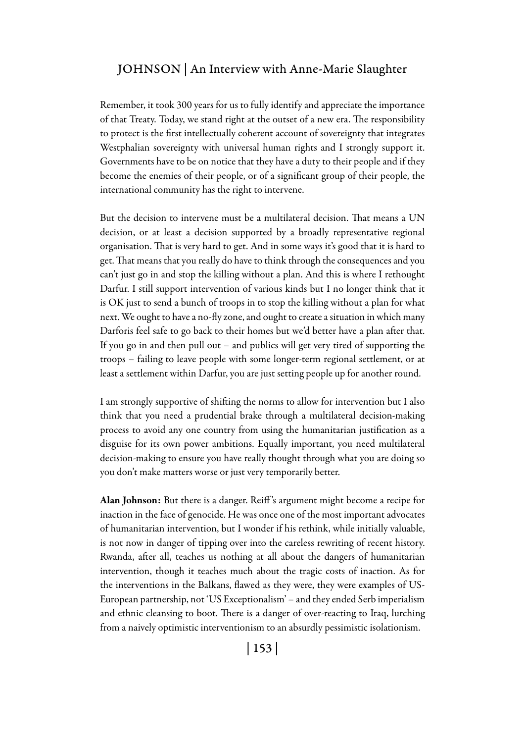Remember, it took 300 years for us to fully identify and appreciate the importance of that Treaty. Today, we stand right at the outset of a new era. The responsibility to protect is the first intellectually coherent account of sovereignty that integrates Westphalian sovereignty with universal human rights and I strongly support it. Governments have to be on notice that they have a duty to their people and if they become the enemies of their people, or of a significant group of their people, the international community has the right to intervene.

But the decision to intervene must be a multilateral decision. That means a UN decision, or at least a decision supported by a broadly representative regional organisation. That is very hard to get. And in some ways it's good that it is hard to get. That means that you really do have to think through the consequences and you can't just go in and stop the killing without a plan. And this is where I rethought Darfur. I still support intervention of various kinds but I no longer think that it is OK just to send a bunch of troops in to stop the killing without a plan for what next. We ought to have a no-fly zone, and ought to create a situation in which many Darforis feel safe to go back to their homes but we'd better have a plan after that. If you go in and then pull out – and publics will get very tired of supporting the troops – failing to leave people with some longer-term regional settlement, or at least a settlement within Darfur, you are just setting people up for another round.

I am strongly supportive of shifting the norms to allow for intervention but I also think that you need a prudential brake through a multilateral decision-making process to avoid any one country from using the humanitarian justification as a disguise for its own power ambitions. Equally important, you need multilateral decision-making to ensure you have really thought through what you are doing so you don't make matters worse or just very temporarily better.

Alan Johnson: But there is a danger. Reiff 's argument might become a recipe for inaction in the face of genocide. He was once one of the most important advocates of humanitarian intervention, but I wonder if his rethink, while initially valuable, is not now in danger of tipping over into the careless rewriting of recent history. Rwanda, after all, teaches us nothing at all about the dangers of humanitarian intervention, though it teaches much about the tragic costs of inaction. As for the interventions in the Balkans, flawed as they were, they were examples of US-European partnership, not 'US Exceptionalism' – and they ended Serb imperialism and ethnic cleansing to boot. There is a danger of over-reacting to Iraq, lurching from a naively optimistic interventionism to an absurdly pessimistic isolationism.

| 153 |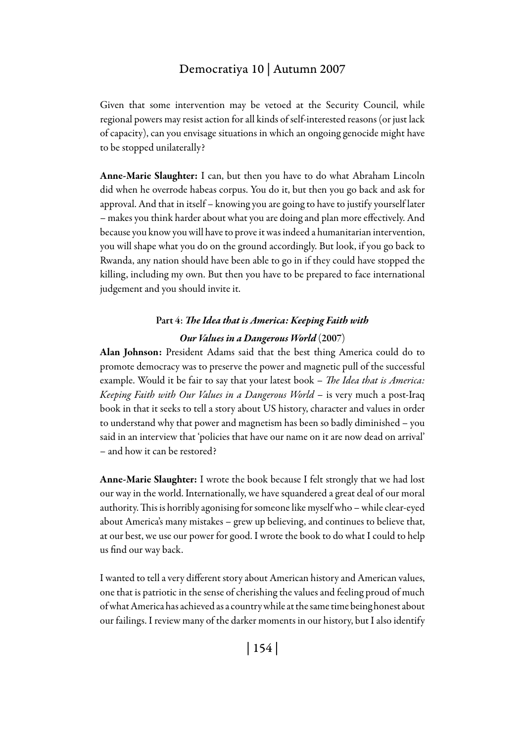Given that some intervention may be vetoed at the Security Council, while regional powers may resist action for all kinds of self-interested reasons (or just lack of capacity), can you envisage situations in which an ongoing genocide might have to be stopped unilaterally?

Anne-Marie Slaughter: I can, but then you have to do what Abraham Lincoln did when he overrode habeas corpus. You do it, but then you go back and ask for approval. And that in itself – knowing you are going to have to justify yourself later – makes you think harder about what you are doing and plan more effectively. And because you know you will have to prove it was indeed a humanitarian intervention, you will shape what you do on the ground accordingly. But look, if you go back to Rwanda, any nation should have been able to go in if they could have stopped the killing, including my own. But then you have to be prepared to face international judgement and you should invite it.

# Part 4: *The Idea that is America: Keeping Faith with Our Values in a Dangerous World* (2007)

Alan Johnson: President Adams said that the best thing America could do to promote democracy was to preserve the power and magnetic pull of the successful example. Would it be fair to say that your latest book – *The Idea that is America: Keeping Faith with Our Values in a Dangerous World* – is very much a post-Iraq book in that it seeks to tell a story about US history, character and values in order to understand why that power and magnetism has been so badly diminished – you said in an interview that 'policies that have our name on it are now dead on arrival' – and how it can be restored?

Anne-Marie Slaughter: I wrote the book because I felt strongly that we had lost our way in the world. Internationally, we have squandered a great deal of our moral authority. This is horribly agonising for someone like myself who – while clear-eyed about America's many mistakes – grew up believing, and continues to believe that, at our best, we use our power for good. I wrote the book to do what I could to help us find our way back.

I wanted to tell a very different story about American history and American values, one that is patriotic in the sense of cherishing the values and feeling proud of much of what America has achieved as a country while at the same time being honest about our failings. I review many of the darker moments in our history, but I also identify

| 154 |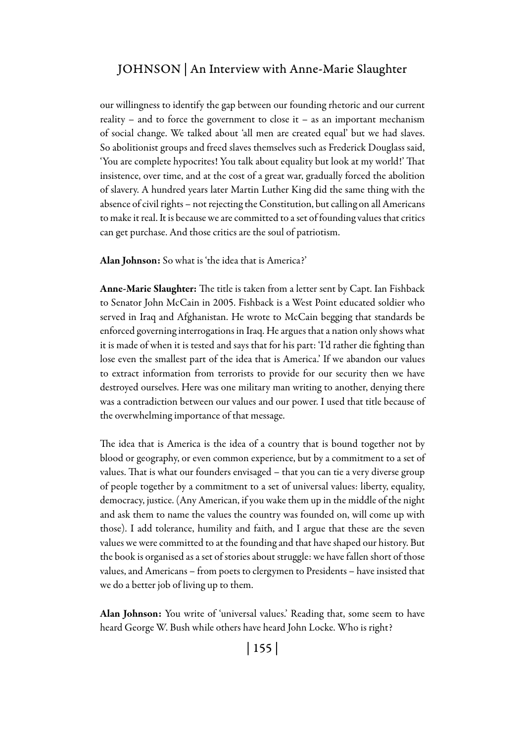our willingness to identify the gap between our founding rhetoric and our current reality – and to force the government to close it – as an important mechanism of social change. We talked about 'all men are created equal' but we had slaves. So abolitionist groups and freed slaves themselves such as Frederick Douglass said, 'You are complete hypocrites! You talk about equality but look at my world!' That insistence, over time, and at the cost of a great war, gradually forced the abolition of slavery. A hundred years later Martin Luther King did the same thing with the absence of civil rights – not rejecting the Constitution, but calling on all Americans to make it real. It is because we are committed to a set of founding values that critics can get purchase. And those critics are the soul of patriotism.

Alan Johnson: So what is 'the idea that is America?'

Anne-Marie Slaughter: The title is taken from a letter sent by Capt. Ian Fishback to Senator John McCain in 2005. Fishback is a West Point educated soldier who served in Iraq and Afghanistan. He wrote to McCain begging that standards be enforced governing interrogations in Iraq. He argues that a nation only shows what it is made of when it is tested and says that for his part: 'I'd rather die fighting than lose even the smallest part of the idea that is America.' If we abandon our values to extract information from terrorists to provide for our security then we have destroyed ourselves. Here was one military man writing to another, denying there was a contradiction between our values and our power. I used that title because of the overwhelming importance of that message.

The idea that is America is the idea of a country that is bound together not by blood or geography, or even common experience, but by a commitment to a set of values. That is what our founders envisaged – that you can tie a very diverse group of people together by a commitment to a set of universal values: liberty, equality, democracy, justice. (Any American, if you wake them up in the middle of the night and ask them to name the values the country was founded on, will come up with those). I add tolerance, humility and faith, and I argue that these are the seven values we were committed to at the founding and that have shaped our history. But the book is organised as a set of stories about struggle: we have fallen short of those values, and Americans – from poets to clergymen to Presidents – have insisted that we do a better job of living up to them.

Alan Johnson: You write of 'universal values.' Reading that, some seem to have heard George W. Bush while others have heard John Locke. Who is right?

| 155 |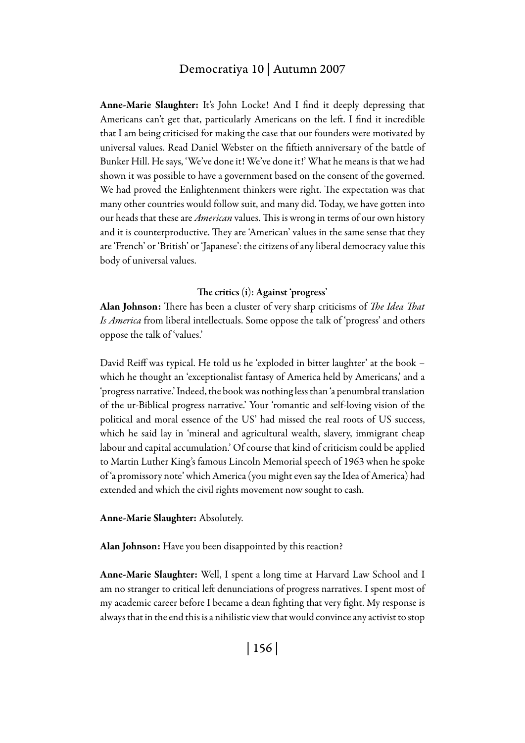Anne-Marie Slaughter: It's John Locke! And I find it deeply depressing that Americans can't get that, particularly Americans on the left. I find it incredible that I am being criticised for making the case that our founders were motivated by universal values. Read Daniel Webster on the fiftieth anniversary of the battle of Bunker Hill. He says, 'We've done it! We've done it!' What he means is that we had shown it was possible to have a government based on the consent of the governed. We had proved the Enlightenment thinkers were right. The expectation was that many other countries would follow suit, and many did. Today, we have gotten into our heads that these are *American* values. This is wrong in terms of our own history and it is counterproductive. They are 'American' values in the same sense that they are 'French' or 'British' or 'Japanese': the citizens of any liberal democracy value this body of universal values.

#### The critics (i): Against 'progress'

Alan Johnson: There has been a cluster of very sharp criticisms of *The Idea That Is America* from liberal intellectuals. Some oppose the talk of 'progress' and others oppose the talk of 'values.'

David Reiff was typical. He told us he 'exploded in bitter laughter' at the book – which he thought an 'exceptionalist fantasy of America held by Americans,' and a 'progress narrative.' Indeed, the book was nothing less than 'a penumbral translation of the ur-Biblical progress narrative.' Your 'romantic and self-loving vision of the political and moral essence of the US' had missed the real roots of US success, which he said lay in 'mineral and agricultural wealth, slavery, immigrant cheap labour and capital accumulation.' Of course that kind of criticism could be applied to Martin Luther King's famous Lincoln Memorial speech of 1963 when he spoke of 'a promissory note' which America (you might even say the Idea of America) had extended and which the civil rights movement now sought to cash.

#### Anne-Marie Slaughter: Absolutely.

Alan Johnson: Have you been disappointed by this reaction?

Anne-Marie Slaughter: Well, I spent a long time at Harvard Law School and I am no stranger to critical left denunciations of progress narratives. I spent most of my academic career before I became a dean fighting that very fight. My response is always that in the end this is a nihilistic view that would convince any activist to stop

| 156 |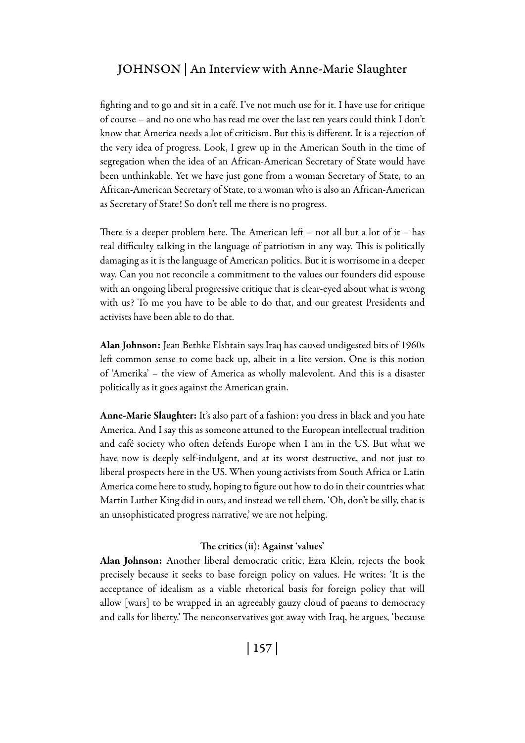fighting and to go and sit in a café. I've not much use for it. I have use for critique of course – and no one who has read me over the last ten years could think I don't know that America needs a lot of criticism. But this is different. It is a rejection of the very idea of progress. Look, I grew up in the American South in the time of segregation when the idea of an African-American Secretary of State would have been unthinkable. Yet we have just gone from a woman Secretary of State, to an African-American Secretary of State, to a woman who is also an African-American as Secretary of State! So don't tell me there is no progress.

There is a deeper problem here. The American left – not all but a lot of it – has real difficulty talking in the language of patriotism in any way. This is politically damaging as it is the language of American politics. But it is worrisome in a deeper way. Can you not reconcile a commitment to the values our founders did espouse with an ongoing liberal progressive critique that is clear-eyed about what is wrong with us? To me you have to be able to do that, and our greatest Presidents and activists have been able to do that.

Alan Johnson: Jean Bethke Elshtain says Iraq has caused undigested bits of 1960s left common sense to come back up, albeit in a lite version. One is this notion of 'Amerika' – the view of America as wholly malevolent. And this is a disaster politically as it goes against the American grain.

Anne-Marie Slaughter: It's also part of a fashion: you dress in black and you hate America. And I say this as someone attuned to the European intellectual tradition and café society who often defends Europe when I am in the US. But what we have now is deeply self-indulgent, and at its worst destructive, and not just to liberal prospects here in the US. When young activists from South Africa or Latin America come here to study, hoping to figure out how to do in their countries what Martin Luther King did in ours, and instead we tell them, 'Oh, don't be silly, that is an unsophisticated progress narrative,' we are not helping.

#### The critics (ii): Against 'values'

Alan Johnson: Another liberal democratic critic, Ezra Klein, rejects the book precisely because it seeks to base foreign policy on values. He writes: 'It is the acceptance of idealism as a viable rhetorical basis for foreign policy that will allow [wars] to be wrapped in an agreeably gauzy cloud of paeans to democracy and calls for liberty.' The neoconservatives got away with Iraq, he argues, 'because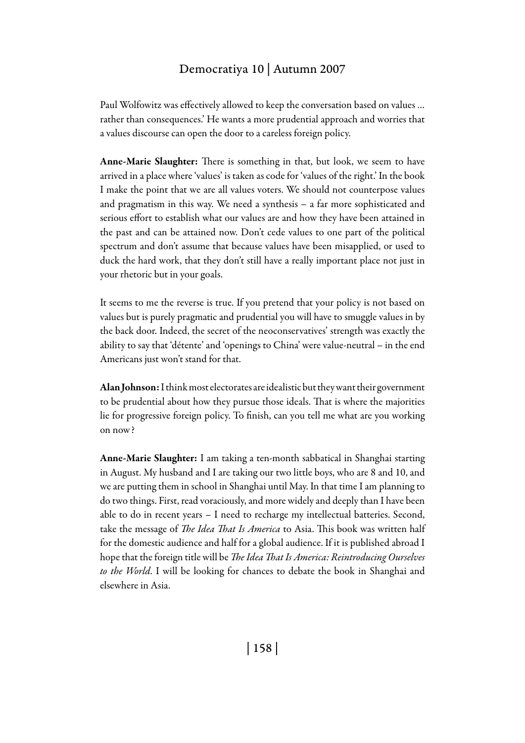Paul Wolfowitz was effectively allowed to keep the conversation based on values … rather than consequences.' He wants a more prudential approach and worries that a values discourse can open the door to a careless foreign policy.

Anne-Marie Slaughter: There is something in that, but look, we seem to have arrived in a place where 'values' is taken as code for 'values of the right.' In the book I make the point that we are all values voters. We should not counterpose values and pragmatism in this way. We need a synthesis – a far more sophisticated and serious effort to establish what our values are and how they have been attained in the past and can be attained now. Don't cede values to one part of the political spectrum and don't assume that because values have been misapplied, or used to duck the hard work, that they don't still have a really important place not just in your rhetoric but in your goals.

It seems to me the reverse is true. If you pretend that your policy is not based on values but is purely pragmatic and prudential you will have to smuggle values in by the back door. Indeed, the secret of the neoconservatives' strength was exactly the ability to say that 'détente' and 'openings to China' were value-neutral – in the end Americans just won't stand for that.

Alan Johnson: I think most electorates are idealistic but they want their government to be prudential about how they pursue those ideals. That is where the majorities lie for progressive foreign policy. To finish, can you tell me what are you working on now?

Anne-Marie Slaughter: I am taking a ten-month sabbatical in Shanghai starting in August. My husband and I are taking our two little boys, who are 8 and 10, and we are putting them in school in Shanghai until May. In that time I am planning to do two things. First, read voraciously, and more widely and deeply than I have been able to do in recent years – I need to recharge my intellectual batteries. Second, take the message of *The Idea That Is America* to Asia. This book was written half for the domestic audience and half for a global audience. If it is published abroad I hope that the foreign title will be *The Idea That Is America: Reintroducing Ourselves to the World*. I will be looking for chances to debate the book in Shanghai and elsewhere in Asia.